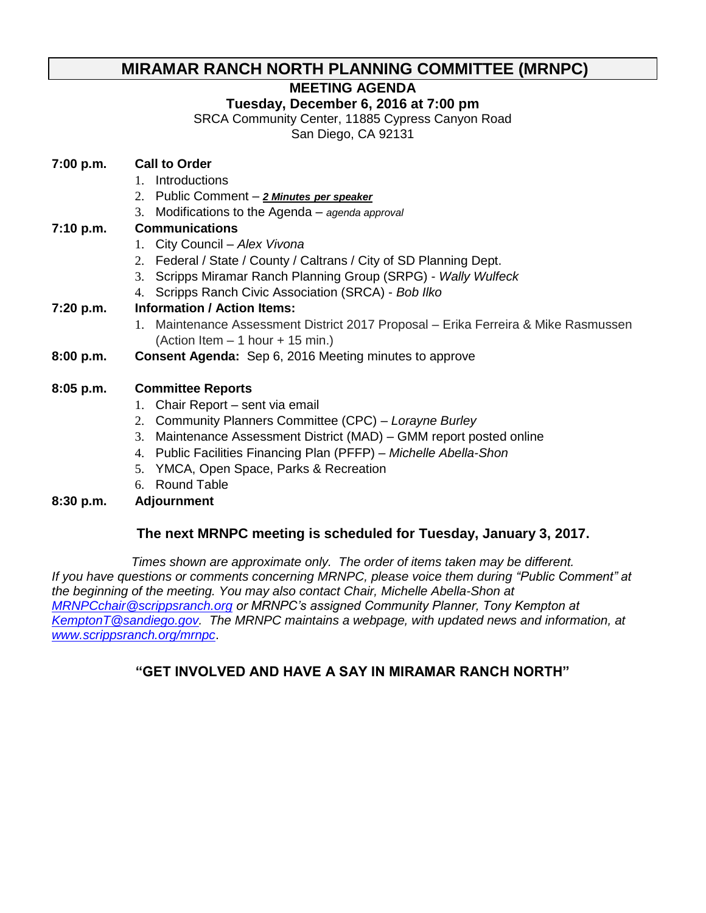### **MIRAMAR RANCH NORTH PLANNING COMMITTEE (MRNPC)**

### **MEETING AGENDA**

#### **Tuesday, December 6, 2016 at 7:00 pm**

SRCA Community Center, 11885 Cypress Canyon Road

San Diego, CA 92131

#### **7:00 p.m. Call to Order**

- 1. Introductions
- 2. Public Comment *2 Minutes per speaker*
- 3. Modifications to the Agenda *agenda approval*

#### **7:10 p.m. Communications**

- 1. City Council *Alex Vivona*
- 2. Federal / State / County / Caltrans / City of SD Planning Dept.
- 3. Scripps Miramar Ranch Planning Group (SRPG) *Wally Wulfeck*
- 4. Scripps Ranch Civic Association (SRCA) *Bob Ilko*

### **7:20 p.m. Information / Action Items:**

- 1. Maintenance Assessment District 2017 Proposal Erika Ferreira & Mike Rasmussen (Action Item – 1 hour + 15 min.)
- **8:00 p.m. Consent Agenda:** Sep 6, 2016 Meeting minutes to approve

#### **8:05 p.m. Committee Reports**

- 1. Chair Report sent via email
- 2. Community Planners Committee (CPC) *Lorayne Burley*
- 3. Maintenance Assessment District (MAD) GMM report posted online
- 4. Public Facilities Financing Plan (PFFP) *Michelle Abella-Shon*
- 5. YMCA, Open Space, Parks & Recreation
- 6. Round Table

#### **8:30 p.m. Adjournment**

#### **The next MRNPC meeting is scheduled for Tuesday, January 3, 2017.**

*Times shown are approximate only. The order of items taken may be different. If you have questions or comments concerning MRNPC, please voice them during "Public Comment" at the beginning of the meeting. You may also contact Chair, Michelle Abella-Shon at [MRNPCchair@scrippsranch.org](mailto:MRNPCchair@scrippsranch.org) or MRNPC's assigned Community Planner, Tony Kempton at [KemptonT@sandiego.gov.](mailto:KemptonT@sandiego.gov) The MRNPC maintains a webpage, with updated news and information, at [www.scrippsranch.org/mrnpc](http://www.scrippsranch.org/mrnpc)*.

### **"GET INVOLVED AND HAVE A SAY IN MIRAMAR RANCH NORTH"**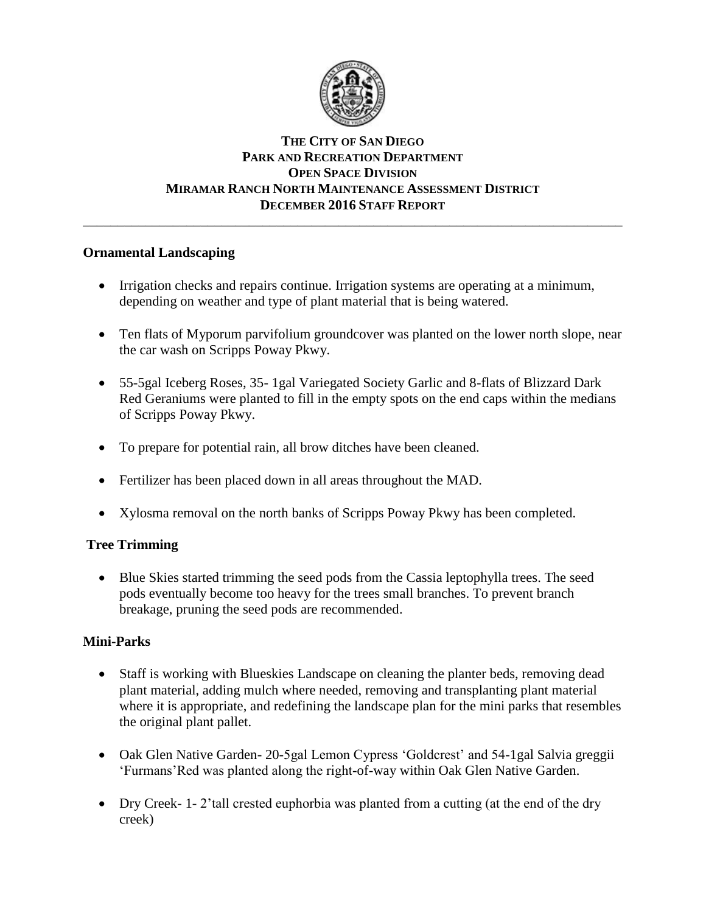

#### **THE CITY OF SAN DIEGO PARK AND RECREATION DEPARTMENT OPEN SPACE DIVISION MIRAMAR RANCH NORTH MAINTENANCE ASSESSMENT DISTRICT DECEMBER 2016 STAFF REPORT** \_\_\_\_\_\_\_\_\_\_\_\_\_\_\_\_\_\_\_\_\_\_\_\_\_\_\_\_\_\_\_\_\_\_\_\_\_\_\_\_\_\_\_\_\_\_\_\_\_\_\_\_\_\_\_\_\_\_\_\_\_\_\_\_\_\_\_\_\_\_\_\_\_\_\_\_\_\_

#### **Ornamental Landscaping**

- Irrigation checks and repairs continue. Irrigation systems are operating at a minimum, depending on weather and type of plant material that is being watered.
- Ten flats of Myporum parvifolium groundcover was planted on the lower north slope, near the car wash on Scripps Poway Pkwy.
- 55-5gal Iceberg Roses, 35- 1gal Variegated Society Garlic and 8-flats of Blizzard Dark Red Geraniums were planted to fill in the empty spots on the end caps within the medians of Scripps Poway Pkwy.
- To prepare for potential rain, all brow ditches have been cleaned.
- Fertilizer has been placed down in all areas throughout the MAD.
- Xylosma removal on the north banks of Scripps Poway Pkwy has been completed.

### **Tree Trimming**

 Blue Skies started trimming the seed pods from the Cassia leptophylla trees. The seed pods eventually become too heavy for the trees small branches. To prevent branch breakage, pruning the seed pods are recommended.

#### **Mini-Parks**

- Staff is working with Blueskies Landscape on cleaning the planter beds, removing dead plant material, adding mulch where needed, removing and transplanting plant material where it is appropriate, and redefining the landscape plan for the mini parks that resembles the original plant pallet.
- Oak Glen Native Garden- 20-5gal Lemon Cypress 'Goldcrest' and 54-1gal Salvia greggii 'Furmans'Red was planted along the right-of-way within Oak Glen Native Garden.
- Dry Creek- 1-2'tall crested euphorbia was planted from a cutting (at the end of the dry creek)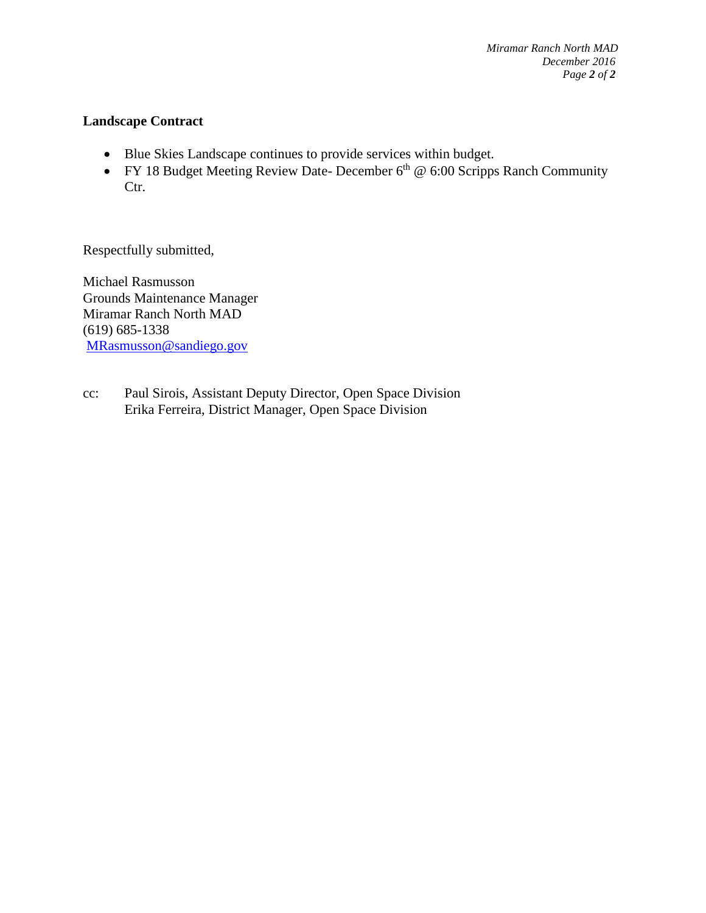#### **Landscape Contract**

- Blue Skies Landscape continues to provide services within budget.
- FY 18 Budget Meeting Review Date- December  $6<sup>th</sup>$  @ 6:00 Scripps Ranch Community Ctr.

Respectfully submitted,

Michael Rasmusson Grounds Maintenance Manager Miramar Ranch North MAD (619) 685-1338 [MRasmusson@sandiego.gov](mailto:MRasmusson@sandiego.gov) 

cc: Paul Sirois, Assistant Deputy Director, Open Space Division Erika Ferreira, District Manager, Open Space Division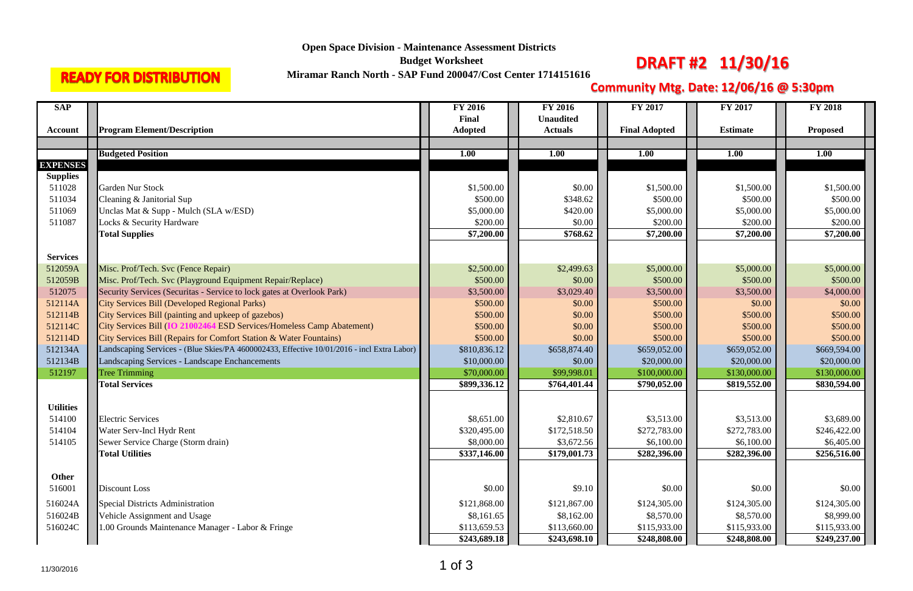| <b>SAP</b>       |                                                                                            | <b>FY 2016</b>         | <b>FY 2016</b>   | <b>FY 2017</b>       | FY 2017         | <b>FY 2018</b>  |
|------------------|--------------------------------------------------------------------------------------------|------------------------|------------------|----------------------|-----------------|-----------------|
|                  |                                                                                            | Final                  | <b>Unaudited</b> |                      |                 |                 |
| <b>Account</b>   | <b>Program Element/Description</b>                                                         | <b>Adopted</b>         | <b>Actuals</b>   | <b>Final Adopted</b> | <b>Estimate</b> | <b>Proposed</b> |
|                  |                                                                                            |                        |                  |                      |                 |                 |
|                  | <b>Budgeted Position</b>                                                                   | <b>1.00</b>            | <b>1.00</b>      | <b>1.00</b>          | <b>1.00</b>     | <b>1.00</b>     |
| <b>EXPENSES</b>  |                                                                                            |                        |                  |                      |                 |                 |
| <b>Supplies</b>  |                                                                                            |                        |                  |                      |                 |                 |
| 511028           | <b>Garden Nur Stock</b>                                                                    | \$1,500.00             | \$0.00           | \$1,500.00           | \$1,500.00      | \$1,500.00      |
| 511034           | Cleaning & Janitorial Sup                                                                  | \$500.00               | \$348.62         | \$500.00             | \$500.00        | \$500.00        |
| 511069           | Unclas Mat & Supp - Mulch (SLA w/ESD)                                                      | \$5,000.00             | \$420.00         | \$5,000.00           | \$5,000.00      | \$5,000.00      |
| 511087           | Locks & Security Hardware                                                                  | \$200.00               | \$0.00           | \$200.00             | \$200.00        | \$200.00        |
|                  | <b>Total Supplies</b>                                                                      | $\overline{$}7,200.00$ | \$768.62         | \$7,200.00           | \$7,200.00      | \$7,200.00      |
|                  |                                                                                            |                        |                  |                      |                 |                 |
| <b>Services</b>  |                                                                                            |                        |                  |                      |                 |                 |
| 512059A          | Misc. Prof/Tech. Svc (Fence Repair)                                                        | \$2,500.00             | \$2,499.63       | \$5,000.00           | \$5,000.00      | \$5,000.00      |
| 512059B          | Misc. Prof/Tech. Svc (Playground Equipment Repair/Replace)                                 | \$500.00               | \$0.00           | \$500.00             | \$500.00        | \$500.00        |
| 512075           | Security Services (Securitas - Service to lock gates at Overlook Park)                     | \$3,500.00             | \$3,029.40       | \$3,500.00           | \$3,500.00      | \$4,000.00      |
| 512114A          | <b>City Services Bill (Developed Regional Parks)</b>                                       | \$500.00               | \$0.00           | \$500.00             | \$0.00          | \$0.00          |
| 512114B          | City Services Bill (painting and upkeep of gazebos)                                        | \$500.00               | \$0.00           | \$500.00             | \$500.00        | \$500.00        |
| 512114C          | City Services Bill (IO 21002464 ESD Services/Homeless Camp Abatement)                      | \$500.00               | \$0.00           | \$500.00             | \$500.00        | \$500.00        |
| 512114D          | City Services Bill (Repairs for Comfort Station & Water Fountains)                         | \$500.00               | \$0.00           | \$500.00             | \$500.00        | \$500.00        |
| 512134A          | Landscaping Services - (Blue Skies/PA 4600002433, Effective 10/01/2016 - incl Extra Labor) | \$810,836.12           | \$658,874.40     | \$659,052.00         | \$659,052.00    | \$669,594.00    |
| 512134B          | Landscaping Services - Landscape Enchancements                                             | \$10,000.00            | \$0.00           | \$20,000.00          | \$20,000.00     | \$20,000.00     |
| 512197           | <b>Tree Trimming</b>                                                                       | \$70,000.00            | \$99,998.01      | \$100,000.00         | \$130,000.00    | \$130,000.00    |
|                  | <b>Total Services</b>                                                                      | \$899,336.12           | \$764,401.44     | \$790,052.00         | \$819,552.00    | \$830,594.00    |
|                  |                                                                                            |                        |                  |                      |                 |                 |
| <b>Utilities</b> |                                                                                            |                        |                  |                      |                 |                 |
| 514100           | <b>Electric Services</b>                                                                   | \$8,651.00             | \$2,810.67       | \$3,513.00           | \$3,513.00      | \$3,689.00      |
| 514104           | <b>Water Serv-Incl Hydr Rent</b>                                                           | \$320,495.00           | \$172,518.50     | \$272,783.00         | \$272,783.00    | \$246,422.00    |
| 514105           | Sewer Service Charge (Storm drain)                                                         | \$8,000.00             | \$3,672.56       | \$6,100.00           | \$6,100.00      | \$6,405.00      |
|                  | <b>Total Utilities</b>                                                                     | \$337,146.00           | \$179,001.73     | \$282,396.00         | \$282,396.00    | \$256,516.00    |
|                  |                                                                                            |                        |                  |                      |                 |                 |
| Other            |                                                                                            |                        |                  |                      |                 |                 |
| 516001           | Discount Loss                                                                              | \$0.00                 | \$9.10           | \$0.00               | \$0.00          | \$0.00          |
| 516024A          | <b>Special Districts Administration</b>                                                    | \$121,868.00           | \$121,867.00     | \$124,305.00         | \$124,305.00    | \$124,305.00    |
| 516024B          | Vehicle Assignment and Usage                                                               | \$8,161.65             | \$8,162.00       | \$8,570.00           | \$8,570.00      | \$8,999.00      |
| 516024C          | 1.00 Grounds Maintenance Manager - Labor & Fringe                                          | \$113,659.53           | \$113,660.00     | \$115,933.00         | \$115,933.00    | \$115,933.00    |
|                  |                                                                                            | \$243,689.18           | \$243,698.10     | \$248,808.00         | \$248,808.00    | \$249,237.00    |

## **Open Space Division - Maintenance Assessment Districts**

**Budget Worksheet** 

# **READY FOR DISTRIBUTION**

**Miramar Ranch North - SAP Fund 200047/Cost Center 1714151616 DRAFT #2 11/30/16** 

## **Community Mtg. Date: 12/06/16 @ 5:30pm**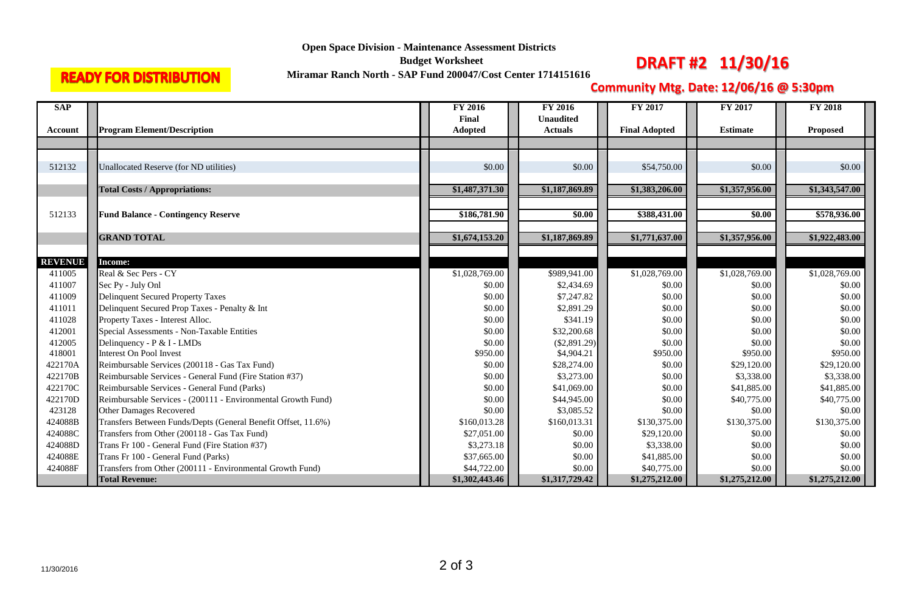## **Open Space Division - Maintenance Assessment Districts**

**Budget Worksheet** 

# **READY FOR DISTRIBUTION**

**Miramar Ranch North - SAP Fund 200047/Cost Center 1714151616 DRAFT #2 11/30/16** 

## **Community Mtg. Date: 12/06/16 @ 5:30pm**

| <b>SAP</b>     |                                                               | <b>FY 2016</b> | <b>FY 2016</b>   | <b>FY 2017</b>       | <b>FY 2017</b>  | <b>FY 2018</b>  |
|----------------|---------------------------------------------------------------|----------------|------------------|----------------------|-----------------|-----------------|
|                |                                                               | Final          | <b>Unaudited</b> |                      |                 |                 |
| Account        | <b>Program Element/Description</b>                            | <b>Adopted</b> | <b>Actuals</b>   | <b>Final Adopted</b> | <b>Estimate</b> | <b>Proposed</b> |
|                |                                                               |                |                  |                      |                 |                 |
|                |                                                               |                |                  |                      |                 |                 |
| 512132         | Unallocated Reserve (for ND utilities)                        | \$0.00         | \$0.00           | \$54,750.00          | \$0.00          | \$0.00          |
|                |                                                               |                |                  |                      |                 |                 |
|                | <b>Total Costs / Appropriations:</b>                          | \$1,487,371.30 | \$1,187,869.89   | \$1,383,206.00       | \$1,357,956.00  | \$1,343,547.00  |
|                |                                                               |                |                  |                      |                 |                 |
| 512133         | <b>Fund Balance - Contingency Reserve</b>                     | \$186,781.90   | \$0.00           | \$388,431.00         | \$0.00          | \$578,936.00    |
|                |                                                               |                |                  |                      |                 |                 |
|                | <b>GRAND TOTAL</b>                                            | \$1,674,153.20 | \$1,187,869.89   | \$1,771,637.00       | \$1,357,956.00  | \$1,922,483.00  |
|                |                                                               |                |                  |                      |                 |                 |
| <b>REVENUE</b> | <b>Income:</b>                                                |                |                  |                      |                 |                 |
| 411005         | Real & Sec Pers - CY                                          | \$1,028,769.00 | \$989,941.00     | \$1,028,769.00       | \$1,028,769.00  | \$1,028,769.00  |
| 411007         | Sec Py - July Onl                                             | \$0.00         | \$2,434.69       | \$0.00               | \$0.00          | \$0.00          |
| 411009         | <b>Delinquent Secured Property Taxes</b>                      | \$0.00         | \$7,247.82       | \$0.00               | \$0.00          | \$0.00          |
| 411011         | Delinquent Secured Prop Taxes - Penalty & Int                 | \$0.00         | \$2,891.29       | \$0.00               | \$0.00          | \$0.00          |
| 411028         | Property Taxes - Interest Alloc.                              | \$0.00         | \$341.19         | \$0.00               | \$0.00          | \$0.00          |
| 412001         | Special Assessments - Non-Taxable Entities                    | \$0.00         | \$32,200.68      | \$0.00               | \$0.00          | \$0.00          |
| 412005         | Delinquency - P & I - LMDs                                    | \$0.00         | $(\$2,891.29)$   | \$0.00               | \$0.00          | \$0.00          |
| 418001         | Interest On Pool Invest                                       | \$950.00       | \$4,904.21       | \$950.00             | \$950.00        | \$950.00        |
| 422170A        | Reimbursable Services (200118 - Gas Tax Fund)                 | \$0.00         | \$28,274.00      | \$0.00               | \$29,120.00     | \$29,120.00     |
| 422170B        | Reimbursable Services - General Fund (Fire Station #37)       | \$0.00         | \$3,273.00       | \$0.00               | \$3,338.00      | \$3,338.00      |
| 422170C        | Reimbursable Services - General Fund (Parks)                  | \$0.00         | \$41,069.00      | \$0.00               | \$41,885.00     | \$41,885.00     |
| 422170D        | Reimbursable Services - (200111 - Environmental Growth Fund)  | \$0.00         | \$44,945.00      | \$0.00               | \$40,775.00     | \$40,775.00     |
| 423128         | <b>Other Damages Recovered</b>                                | \$0.00         | \$3,085.52       | \$0.00               | \$0.00          | \$0.00          |
| 424088B        | Transfers Between Funds/Depts (General Benefit Offset, 11.6%) | \$160,013.28   | \$160,013.31     | \$130,375.00         | \$130,375.00    | \$130,375.00    |
| 424088C        | Transfers from Other (200118 - Gas Tax Fund)                  | \$27,051.00    | \$0.00           | \$29,120.00          | \$0.00          | \$0.00          |
| 424088D        | Trans Fr 100 - General Fund (Fire Station #37)                | \$3,273.18     | \$0.00           | \$3,338.00           | \$0.00          | \$0.00          |
| 424088E        | Trans Fr 100 - General Fund (Parks)                           | \$37,665.00    | \$0.00           | \$41,885.00          | \$0.00          | \$0.00          |
| 424088F        | Transfers from Other (200111 - Environmental Growth Fund)     | \$44,722.00    | \$0.00           | \$40,775.00          | \$0.00          | \$0.00          |
|                | <b>Total Revenue:</b>                                         | \$1,302,443.46 | \$1,317,729.42   | \$1,275,212.00       | \$1,275,212.00  | \$1,275,212.00  |